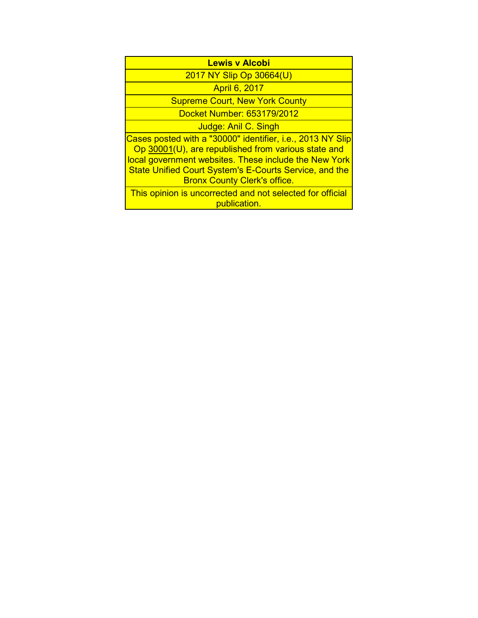| <b>Lewis v Alcobi</b>                                                                                                                                                                                                                                                              |
|------------------------------------------------------------------------------------------------------------------------------------------------------------------------------------------------------------------------------------------------------------------------------------|
| 2017 NY Slip Op 30664(U)                                                                                                                                                                                                                                                           |
| <b>April 6, 2017</b>                                                                                                                                                                                                                                                               |
| <b>Supreme Court, New York County</b>                                                                                                                                                                                                                                              |
| Docket Number: 653179/2012                                                                                                                                                                                                                                                         |
| Judge: Anil C. Singh                                                                                                                                                                                                                                                               |
| Cases posted with a "30000" identifier, i.e., 2013 NY Slip<br>Op 30001(U), are republished from various state and<br>local government websites. These include the New York<br><b>State Unified Court System's E-Courts Service, and the</b><br><b>Bronx County Clerk's office.</b> |
| This opinion is uncorrected and not selected for official<br>publication.                                                                                                                                                                                                          |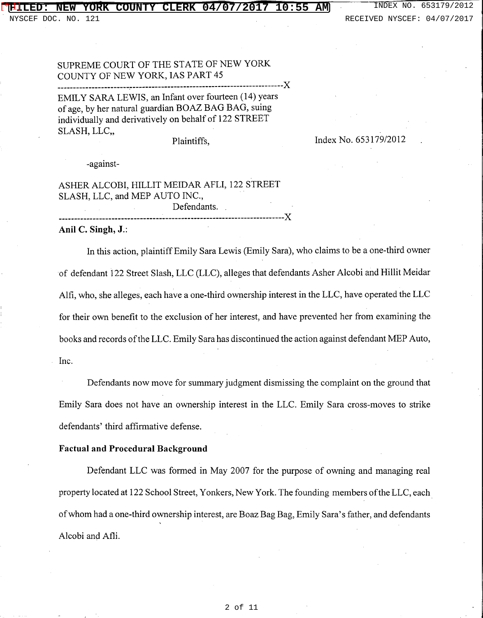## **FILED: NEW YORK COUNTY CLERK 04/07/2017 10:55 AM** INDEX NO. 653179/2012 [\*][]

DOC. NO. 121 RECEIVED NYSCEF: 04/07/2017

# SUPREME COURT OF THE STATE OF NEW YORK COUNTY OF NEW YORK, IAS PART 45

-----------------------~------------------------------------------------)( EMILY SARA LEWIS, an Infant over fourteen (14) years of age, by her natural guardian BOAZ BAG BAG, suing individually and derivatively on behalf of 122 STREET SLASH, LLC,

## Plaintiffs,

Index No. 653179/2012

-against-

ASHER ALCOBI, HILLIT MEIDAR AFLI, 122 STREET SLASH, LLC, and MEP AUTO INC., Defendants. ------------------------------------------------------------------------)( **Anil C. Singh, J.:** 

In this action, plaintiff Emily Sara Lewis (Emily Sara), who claims to be a one-third owner of defendant 122 Street Slash, LLC (LLC), alleges that defendants Asher Alcobi and Hillit Meidar Alfi, who, she alleges, each have a one-third ownership interest in the LLC, have operated the LLC for their own benefit to the exclusion of her interest, and have prevented her from examining the books and records of the LLC. Emily Sara has discontinued the action against defendant MEP Auto, Inc.

Defendants now move for summary judgment dismissing the complaint on the ground that Emily Sara does not have an ownership interest in the LLC. Emily Sara cross-moves to strike defendants' third affirmative defense.

# **Factual and Procedural Background**

Defendant LLC was formed in May 2007 for the purpose of owning and managing real property located at 122 School Street, Yonkers, New York. The founding members of the LLC, each. of whom had a one-third ownership interest, are Boaz Bag Bag, Emily Sara's father, and defendants Alcobi and Afli.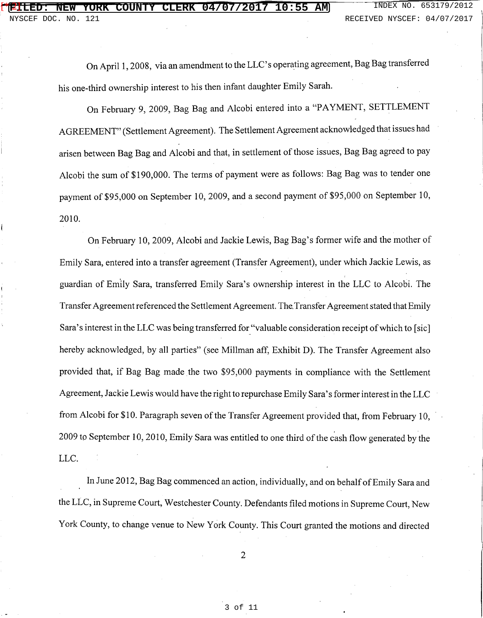On April 1, 2008, via an amendment to the LLC' s operating agreement, Bag Bag transferred his one-third ownership interest to his then infant daughter Emily Sarah.

On February 9, 2009, Bag Bag and Alcobi entered into a "PAYMENT, SETTLEMENT AGREEMENT" (Settlement Agreement). The Settlement Agreement acknowledged that issues had arisen between Bag Bag and Alcobi and that, in settlement of those issues, Bag Bag agreed to pay Alcobi the sum of \$190,000. The terms of payment were as follows: Bag Bag was to tender one payment of \$95,000 on September 10, 2009, and a second payment of \$95,000 on September 10, 2010.

On February 10, 2009, Alcobi and Jackie Lewis, Bag Bag's former wife and the mother of Emily Sara, entered into a transfer agreement (Transfer Agreement), under which Jackie Lewis, as guardian of Emily Sara, transferred Emily Sara's ownership interest in the LLC to Alcobi. The Transfer Agreement referenced the Settlement Agreement. The. Transfer Agreement stated that Emily Sara's interest in the LLC was being transferred for "valuable consideration receipt of which to [sic] hereby acknowledged, by all parties" (see Millman aff, Exhibit D). The Transfer Agreement also provided that, if Bag Bag made the two \$95,000 payments in compliance with the Settlement Agreement, Jackie Lewis would have the right to repurchase Emily Sara's former interest in the LLC from Alcobi for \$10. Paragraph seven of the Transfer Agreement provided that, from February 10, 2009 to September 10, 2010, Emily Sara was entitled to one third of the cash flow generated by the LLC.

In June 2012, Bag Bag commenced an action, individually, and on behalf of Emily Sara and the LLC, in Supreme Court, Westchester County. Defendants filed motions in Supreme Court, New York County, to change venue to New York County. This Court granted the motions and directed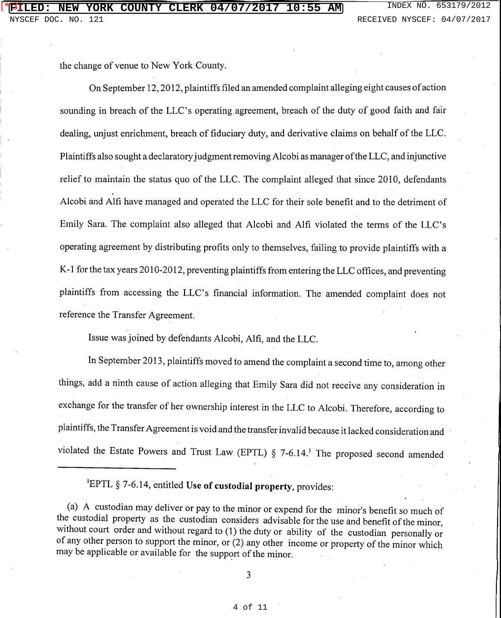the change of venue to New York County.

On September 12, 2012, plaintiffs filed an amended complaint alleging eight causes of action sounding in breach of the LLC's operating agreement, breach of the duty of good faith and fair dealing, unjust enrichment, breach of fiduciary duty, and derivative claims on behalf of the LLC. Plaintiffs also sought a declaratory judgment removing Alcobi as manager of the LLC, and injunctive relief to maintain the status quo of the LLC. The complaint alleged that since 2010, defendants Alcobi and Alfi have managed and operated the LLC for their sole benefit and to the detriment of Emily Sara. The complaint also alleged that Alcobi and Alfi violated the terms of the LLC's operating agreement by distributing profits only to themselves, failing to provide plaintiffs with a K-1 for the tax years 2010-2012, preventing plaintiffs from entering the LLC offices, and preventing plaintiffs from accessing the LLC's financial information. The amended complaint does not reference the Transfer Agreement.

Issue was joined by defendants Alcobi, Alfi, and the LLC.

In September 2013, plaintiffs moved to amend the complaint a second time to, among other things, add a ninth cause of action alleging that Emily Sara did not receive any consideration in exchange for the transfer of her ownership interest in the LLC to Alcobi. Therefore, according to plaintiffs, the Transfer Agreement is void and the transfer invalid because it lacked consideration and violated the Estate Powers and Trust Law (EPTL)  $\S$  7-6.14.<sup>1</sup> The proposed second amended

1 EPTL § 7-6.14, entitled Use **of custodial property,** provides:

(a) A custodian may deliver or pay to the minor or expend for the minor's benefit so much of the custodial property as the custodian considers advisable for the use and benefit of the minor, without court order and without regard to (1) the duty or ability of the custodian personally or of any other person to support the minor, or (2) any other income or property of the minor which may be applicable or available for the support of the minor.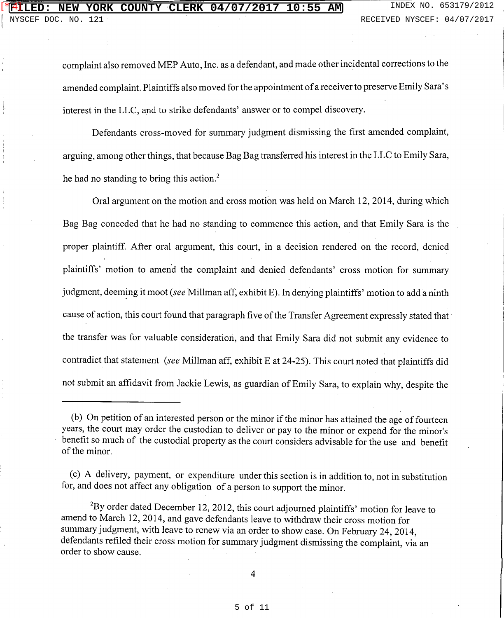# ETILED: NEW YORK COUNTY CLERK 04/07/2017 10:55 AM MECEIVED NYSCEF: 04/07/2017 19:55  $[$   $*$  $\overline{4}$ ]

complaint also removed MEP Auto, Inc. as a defendant, and made other incidental corrections to the amended complaint. Plaintiffs also moved for the appointment of a receiver to preserve Emily Sara's interest in the LLC, and to strike defendants' answer or to compel discovery.

Defendants cross-moved for summary judgment dismissing the first amended complaint, arguing, among other things, that because Bag Bag transferred his interest in the LLC to Emily Sara, he had no standing to bring this action.<sup>2</sup>

Oral argument on the motion and cross motion was held on March 12, 2014, during which Bag Bag conceded that he had no standing to commence this action, and that Emily Sara is the proper plaintiff. After oral argument, this court, in a decision rendered on the record, denied plaintiffs' motion to amend the complaint and denied defendants' cross motion for summary judgment, deeming it moot (see Millman aff, exhibit E). In denying plaintiffs' motion to add a ninth cause of action, this court found that paragraph five of the Transfer Agreement expressly stated that the transfer was for valuable consideration, and that Emily Sara did not submit any evidence to contradict that statement (see Millman aff, exhibit E at 24-25). This court noted that plaintiffs did not submit an affidavit from Jackie Lewis, as guardian of Emily Sara, to explain why, despite the

<sup>(</sup>b) On petition of an interested person or the minor if the minor has attained the age of fourteen years, the court may order the custodian to deliver or pay to the minor or expend for the minor's benefit so much of the custodial property as the court considers advisable for the use and benefit of the minor.

<sup>(</sup>c) A delivery, payment, or expenditure under this section is in addition to, not in substitution for, and does not affect any obligation of a person to support the minor.

 $^{2}$ By order dated December 12, 2012, this court adjourned plaintiffs' motion for leave to amend to March 12, 2014, and gave defendants leave to withdraw their cross motion for summary judgment, with leave to renew via an order to show case. On February 24, 2014, defendants refiled their cross motion for summary judgment dismissing the complaint, via an order to show cause.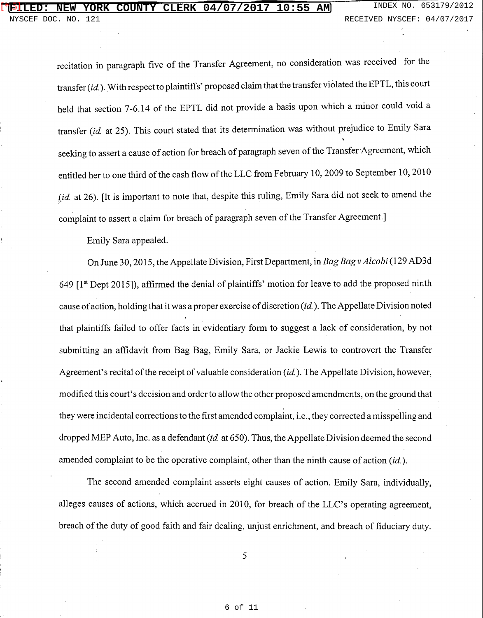## **FILED: NEW YORK COUNTY CLERK 04/07/2017 10:55 AM** INDEX NO. 653179/2012 [\* 5]

recitation in paragraph five of the Transfer Agreement, no consideration was received for the transfer (id.). With respect to plaintiffs' proposed claim that the transfer violated the EPTL, this court held that section 7-6.14 of the EPTL did not provide a basis upon which a minor could void a transfer (id. at 25). This court stated that its determination was without prejudice to Emily Sara seeking to assert a cause of action for breach of paragraph seven of the Transfer Agreement, which entitled her to one third of the cash flow of the LLC from February 10, 2009 to September 10, 2010 (id. at 26). [It is important to note that, despite this ruling, Emily Sara did not seek to amend the ) complaint to assert a claim for breach of paragraph seven of the Transfer Agreement.]

Emily Sara appealed.

On June 30, 2015, the Appellate Division, First Department, in *Bag Bagv Alcobi* (129 AD3d 649  $[1<sup>st</sup>$  Dept 2015]), affirmed the denial of plaintiffs' motion for leave to add the proposed ninth cause of action, holding that it was a proper exercise of discretion (id.). The Appellate Division noted that plaintiffs failed to offer facts in evidentiary form to suggest a lack of consideration, by not submitting an affidavit from Bag Bag, Emily Sara, or Jackie Lewis to controvert the Transfer Agreement's recital of the receipt of valuable consideration  $(id)$ . The Appellate Division, however, modified this court's decision and order to allow the other proposed amendments, on the ground that they were incidental corrections to the first amended complaint, i.e., they corrected a misspelling and dropped MEP Auto, Inc. as a defendant *(id.* at 650). Thus, the Appellate Division deemed the second amended complaint to be the operative complaint, other than the ninth cause of action *(id.).* 

The second amended complaint asserts eight causes of action. Emily Sara, individually, alleges causes of actions, which accrued in 2010, for breach of the LLC's operating agreement, breach of the duty of good faith and fair dealing, unjust enrichment, and breach of fiduciary duty.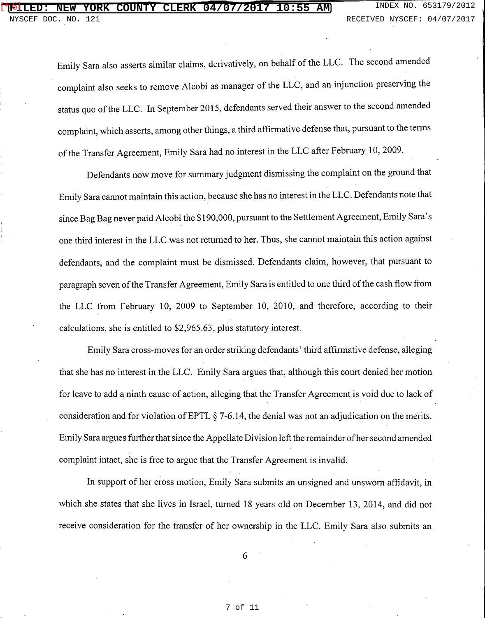Emily Sara also asserts similar claims, derivatively, on behalf of the LLC. The second amended complaint also seeks to remove Alcobi as manager of the LLC, and an injunction preserving the status quo of the LLC. In September 2015, defendants served their answer to the second amended complaint, which asserts, among other things, a third affirmative defense that, pursuant to the terms of the Transfer Agreement, Emily Sara had no interest in the LLC after February 10, 2009.

Defendants now move for summary judgment dismissing the complaint on the ground that Emily Sara cannot maintain this action, because she has no interest in the LLC. Defendants note that since Bag Bag never paid Alcobi the \$190,000, pursuant to the Settlement Agreement, Emily Sara's one third interest in the LLC was not returned to her. Thus, she cannot maintain this action against defendants, and the complaint must be dismissed. Defendants claim, however, that pursuant to paragraph seven of the Transfer Agreement, Emily Sara is entitled to one third of the cash flow from the LLC from February 10, 2009 to September 10, 2010, and therefore, according to their calculations, she is entitled to \$2,965.63, plus statutory interest.

Emily Sara cross-moves for an order striking defendants' third affirmative defense, alleging that she has no interest in the LLC. Emily Sara argues that, although this court denied her motion for leave to add a ninth cause of action, alleging that the Transfer Agreement is void due to lack of consideration and for violation of EPTL § 7-6.14, the denial was not an adjudication on the merits. Emily Sara argues further that since the Appellate Division left the remainder of her second amended complaint intact, she is free to argue that the Transfer Agreement is invalid.

In support of her cross motion, Emily Sara submits an unsigned and unsworn affidavit, in which she states that she lives in Israel, turned 18 years old on December 13, 2014, and did not receive consideration for the transfer of her ownership in the LLC. Emily Sara also submits an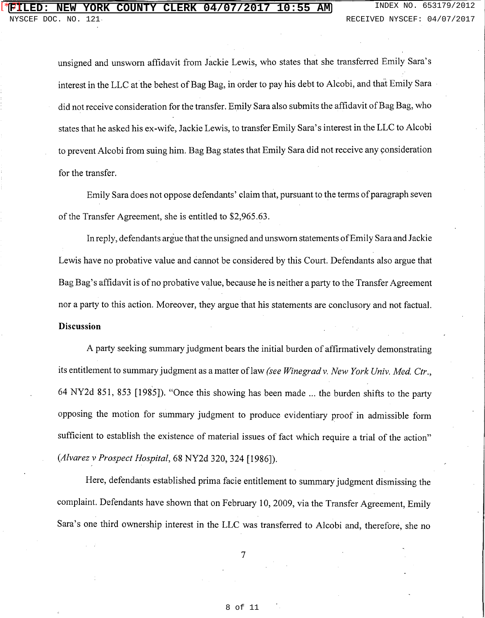unsigned and unsworn affidavit from Jackie Lewis, who states that she transferred Emily Sara's interest in the LLC at the behest of Bag Bag, in order to pay his debt to Alcobi, and that Emily Sara did not receive consideration for the transfer. Emily Sara also submits the affidavit of Bag Bag, who states that he asked his ex-wife, Jackie Lewis, to transfer Emily Sara's interest in the LLC to Alcobi to prevent Alcobi from suing him. Bag Bag states that Emily Sara did not receive any consideration for the transfer.

Emily Sara does not oppose defendants' claim that, pursuant to the terms of paragraph seven of the Transfer Agreement, she is entitled to \$2,965.63.

In reply, defendants argue that the unsigned and unsworn statements of Emily Sara and Jackie Lewis have no probative value and cannot be considered by this Court. Defendants also argue that Bag Bag's affidavit is of no probative value, because he is neither a party to the Transfer Agreement nor a party to this action. Moreover, they argue that his statements are conclusory and not factual. **Discussion** 

A party seeking summary judgment bears the initial burden of affirmatively demonstrating its entitlement to summary judgment as a matter of law *(see Wine grad v. New York Univ. Med. Ctr.*, 64 NY2d 851, 853 [1985]). "Once this showing has been made ... the burden shifts to the party opposing the motion for summary judgment to produce evidentiary proof in admissible form sufficient to establish the existence of material issues of fact which require a trial of the action" *(Alvarez v Prospect Hospital,* 68 NY2d 320, 324 [1986]).

Here, defendants established prima facie entitlement to summary judgment dismissing the complaint. Defendants have shown that on February 10, 2009, via the Transfer Agreement, Emily Sara's one third ownership interest in the LLC was transferred to Alcobi and, therefore, she no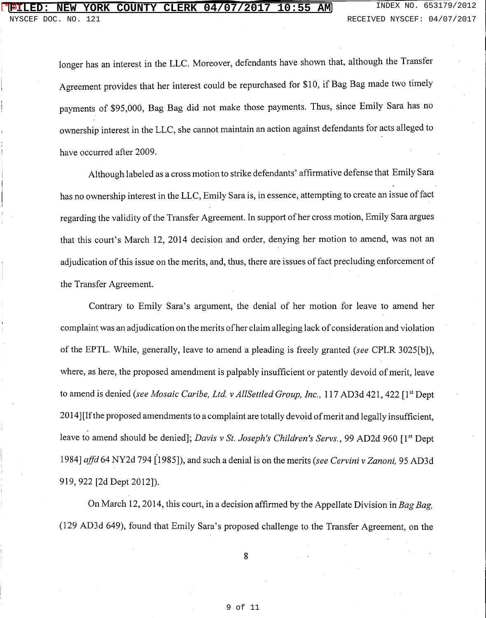longer has an interest in the LLC. Moreover, defendants have shown that, although the Transfer Agreement provides that her interest could be repurchased for \$10, if Bag Bag made two timely payments of \$95,000, Bag Bag did not make those payments. Thus, since Emily Sara has no ownership interest in the LLC, she cannot maintain an action against defendants for acts alleged to have occurred after 2009.

Although labeled as a cross motion to strike defendants' affirmative defense that Emily Sara has no ownership interest in the LLC, Emily Sara is, in essence, attempting to create an issue of fact regarding the validity of the Transfer Agreement. In support of her cross motion, Emily Sara argues that this court's March 12, 2014 decision and order, denying her motion to amend, was not an adjudication of this issue on the merits, and, thus, there are issues of fact precluding enforcement of the Transfer Agreement.

Contrary to Emily Sara's argument, the denial of her motion for leave to amend her complaint was an adjudication on the merits of her claim alleging lack of consideration and violation of the EPTL. While, generally, leave to amend a pleading is freely granted *(see* CPLR 3025[b]), where, as here, the proposed amendment is palpably insufficient or patently devoid of merit, leave to amend is denied *(see Mosaic Caribe, Ltd. v AllSettled Group, Inc., 117 AD3d 421, 422* [1<sup>st</sup> Dept 2014] [If the proposed amendments to a complaint are totally devoid of merit and legally insufficient, leave to amend should be denied]; *Davis v St. Joseph's Children's Servs.*, 99 AD2d 960 [1<sup>st</sup> Dept 1984] *affd* 64 NY2d 794 (1985]), and such a denial is on the merits *(see Cervini v Zanoni,* 95 AD3d 919, 922 [2d Dept 2012]).

On March 12, 2014, this court, in a decision affirmed by the Appellate Division in *Bag Bag,*  (129 AD3d 649), found that Emily Sara's proposed challenge to the Transfer Agreement, on the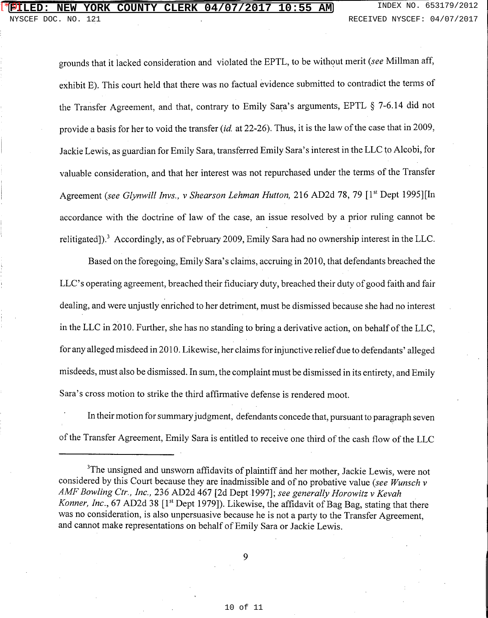#### **NEW YORK COUNTY CLERK 04/07/2017 10:55 AM** INDEX NO. 653179/2012 [\* 9]

grounds that it lacked consideration and violated the EPTL, to be without merit (see Millman aff, exhibit E). This court held that there was no factual evidence submitted to contradict the terms of the Transfer Agreement, and that, contrary to Emily Sara's arguments, EPTL § 7-6.14 did not provide a basis for her to void the transfer *(id.* at 22-26). Thus, it is the law of the case that in 2009, Jackie Lewis, as guardian for Emily Sara, transferred Emily Sara's interest in the LLC to Alcobi, for valuable consideration, and that her interest was not repurchased under the terms of the Transfer Agreement (see Glynwill Invs., v Shearson Lehman Hutton, 216 AD2d 78, 79 [1<sup>st</sup> Dept 1995][In accordance with the doctrine of law of the case, an issue resolved by a prior ruling cannot be relitigated]).3 Accordingly, as of February 2009, Emily Sara had no ownership interest in the LLC.

Based on the foregoing, Emily Sara's claims, accruing in 2010, that defendants breached the LLC's operating agreement, breached their fiduciary duty, breached their duty of good faith and fair dealing, and were unjustly enriched to her detriment, must be dismissed because she had no interest in the LLC in 2010. Further, she has no standing to bring a derivative action, on behalf of the LLC, for any alleged misdeed in 2010. Likewise, her claims for injunctive relief due to defendants' alleged misdeeds, must also be dismissed. In sum, the complaint must be dismissed in its entirety, and Emily Sara's cross motion to strike the third affirmative defense is rendered moot.

In their motion for summary judgment, defendants concede that, pursuant to paragraph seven of the Transfer Agreement, Emily Sara is entitled to receive one third of the cash flow of the LLC

<sup>3</sup>The unsigned and unsworn affidavits of plaintiff and her mother, Jackie Lewis, were not considered by this Court because they are inadmissible and of no probative value *(see Wunsch v AMF Bowling Ctr., Inc.,* 236 AD2d 467 [2d Dept1997]; *see generally Horowitz v Kevah*  Konner, Inc., 67 AD2d 38 [1<sup>st</sup> Dept 1979]). Likewise, the affidavit of Bag Bag, stating that there was no consideration, is also unpersuasive because he is not a party to the Transfer Agreement, and cannot make representations on behalf of Emily Sara or Jackie Lewis.